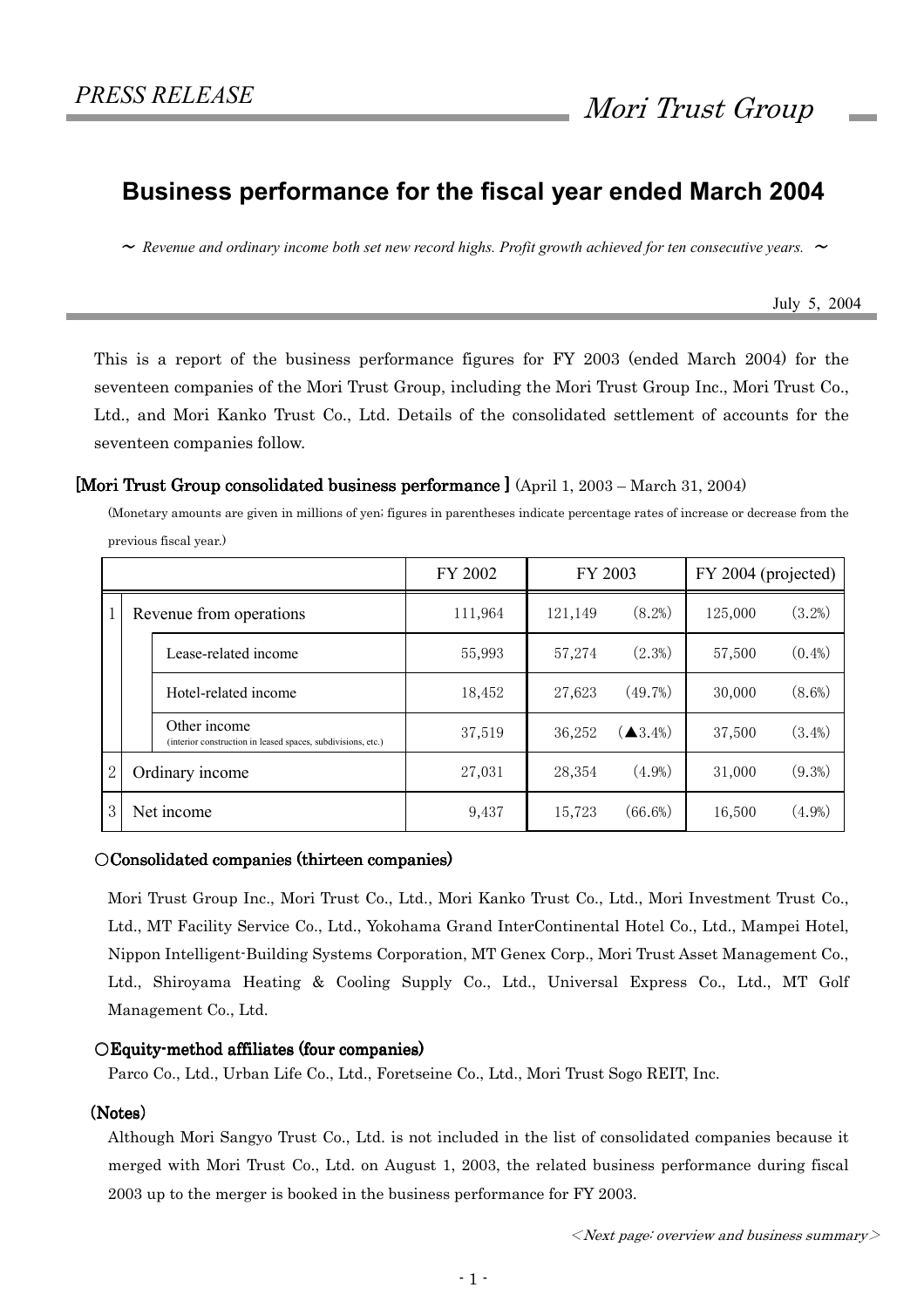# Business performance for the fiscal year ended March 2004

 $\sim$  Revenue and ordinary income both set new record highs. Profit growth achieved for ten consecutive years.  $\sim$ 

July 5, 2004

This is a report of the business performance figures for FY 2003 (ended March 2004) for the seventeen companies of the Mori Trust Group, including the Mori Trust Group Inc., Mori Trust Co., Ltd., and Mori Kanko Trust Co., Ltd. Details of the consolidated settlement of accounts for the seventeen companies follow.

#### [Mori Trust Group consolidated business performance  $\int (Apiri 1, 2003 - March 31, 2004)$ ]

(Monetary amounts are given in millions of yen; figures in parentheses indicate percentage rates of increase or decrease from the previous fiscal year.)

|                |                         |                                                                              | FY 2002 | FY 2003 |                                       | FY 2004 (projected) |           |
|----------------|-------------------------|------------------------------------------------------------------------------|---------|---------|---------------------------------------|---------------------|-----------|
| 1              | Revenue from operations |                                                                              | 111,964 | 121,149 | $(8.2\%)$                             | 125,000             | (3.2%)    |
|                |                         | Lease-related income                                                         | 55,993  | 57,274  | $(2.3\%)$                             | 57,500              | $(0.4\%)$ |
|                |                         | Hotel-related income                                                         | 18,452  | 27,623  | (49.7%)                               | 30,000              | $(8.6\%)$ |
|                |                         | Other income<br>(interior construction in leased spaces, subdivisions, etc.) | 37,519  | 36,252  | $\left( \blacktriangle 3.4\% \right)$ | 37,500              | $(3.4\%)$ |
| $\overline{2}$ | Ordinary income         |                                                                              | 27,031  | 28,354  | $(4.9\%)$                             | 31,000              | (9.3%)    |
| 3              | Net income              |                                                                              | 9,437   | 15,723  | (66.6%)                               | 16,500              | $(4.9\%)$ |

#### $OConsolidated companies (thirteen companies)$

Mori Trust Group Inc., Mori Trust Co., Ltd., Mori Kanko Trust Co., Ltd., Mori Investment Trust Co., Ltd., MT Facility Service Co., Ltd., Yokohama Grand InterContinental Hotel Co., Ltd., Mampei Hotel, Nippon Intelligent-Building Systems Corporation, MT Genex Corp., Mori Trust Asset Management Co., Ltd., Shiroyama Heating & Cooling Supply Co., Ltd., Universal Express Co., Ltd., MT Golf Management Co., Ltd.

#### $\bigcirc$  Equity-method affiliates (four companies)

Parco Co., Ltd., Urban Life Co., Ltd., Foretseine Co., Ltd., Mori Trust Sogo REIT, Inc.

#### (Notes)

Although Mori Sangyo Trust Co., Ltd. is not included in the list of consolidated companies because it merged with Mori Trust Co., Ltd. on August 1, 2003, the related business performance during fiscal 2003 up to the merger is booked in the business performance for FY 2003.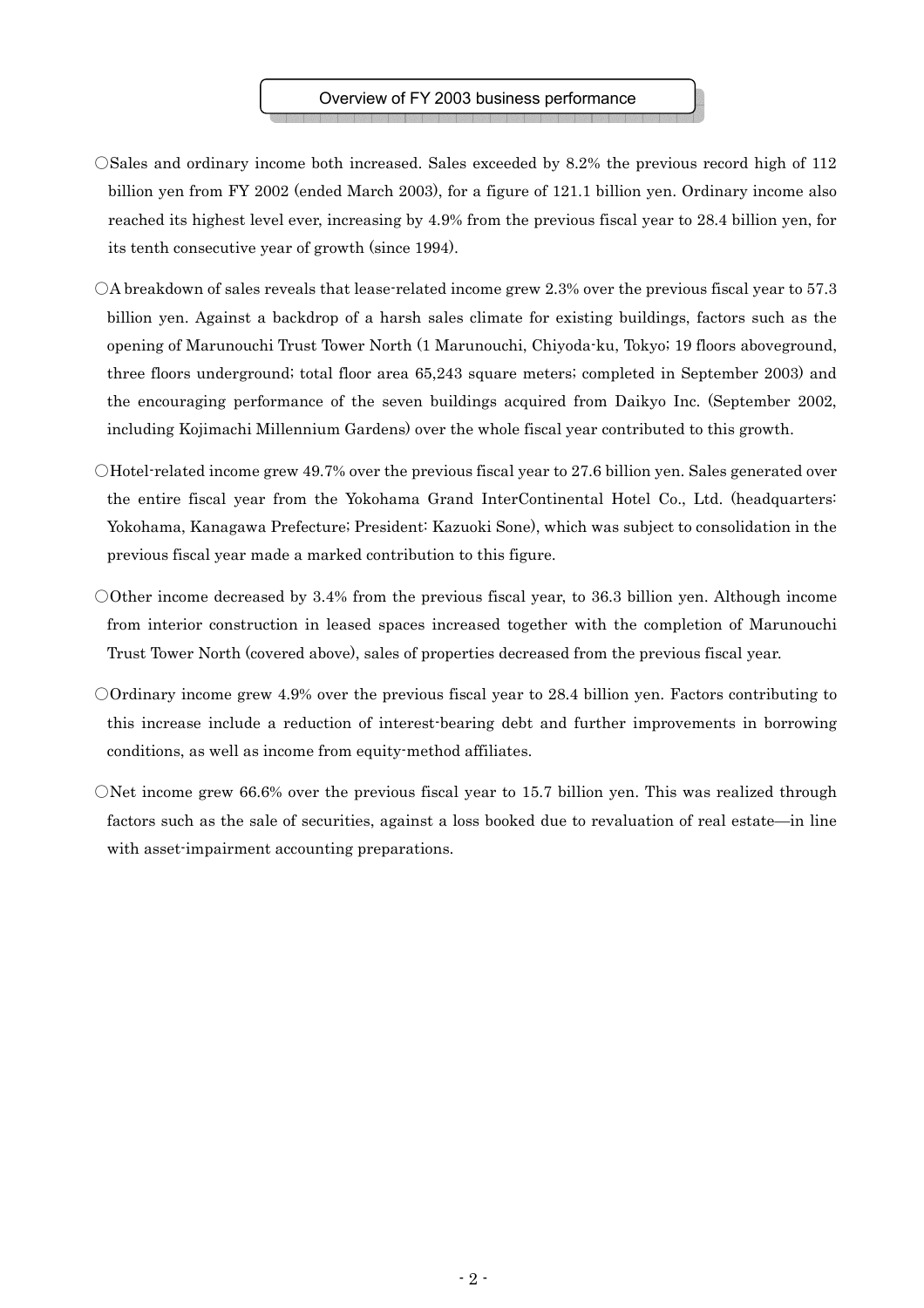- ○Sales and ordinary income both increased. Sales exceeded by 8.2% the previous record high of 112 billion yen from FY 2002 (ended March 2003), for a figure of 121.1 billion yen. Ordinary income also reached its highest level ever, increasing by 4.9% from the previous fiscal year to 28.4 billion yen, for its tenth consecutive year of growth (since 1994).
- ○A breakdown of sales reveals that lease-related income grew 2.3% over the previous fiscal year to 57.3 billion yen. Against a backdrop of a harsh sales climate for existing buildings, factors such as the opening of Marunouchi Trust Tower North (1 Marunouchi, Chiyoda-ku, Tokyo; 19 floors aboveground, three floors underground; total floor area 65,243 square meters; completed in September 2003) and the encouraging performance of the seven buildings acquired from Daikyo Inc. (September 2002, including Kojimachi Millennium Gardens) over the whole fiscal year contributed to this growth.
- $\bigcirc$ Hotel-related income grew 49.7% over the previous fiscal year to 27.6 billion yen. Sales generated over the entire fiscal year from the Yokohama Grand InterContinental Hotel Co., Ltd. (headquarters: Yokohama, Kanagawa Prefecture; President: Kazuoki Sone), which was subject to consolidation in the previous fiscal year made a marked contribution to this figure.
- ○Other income decreased by 3.4% from the previous fiscal year, to 36.3 billion yen. Although income from interior construction in leased spaces increased together with the completion of Marunouchi Trust Tower North (covered above), sales of properties decreased from the previous fiscal year.
- ○Ordinary income grew 4.9% over the previous fiscal year to 28.4 billion yen. Factors contributing to this increase include a reduction of interest-bearing debt and further improvements in borrowing conditions, as well as income from equity-method affiliates.
- ONet income grew 66.6% over the previous fiscal year to 15.7 billion yen. This was realized through factors such as the sale of securities, against a loss booked due to revaluation of real estate—in line with asset-impairment accounting preparations.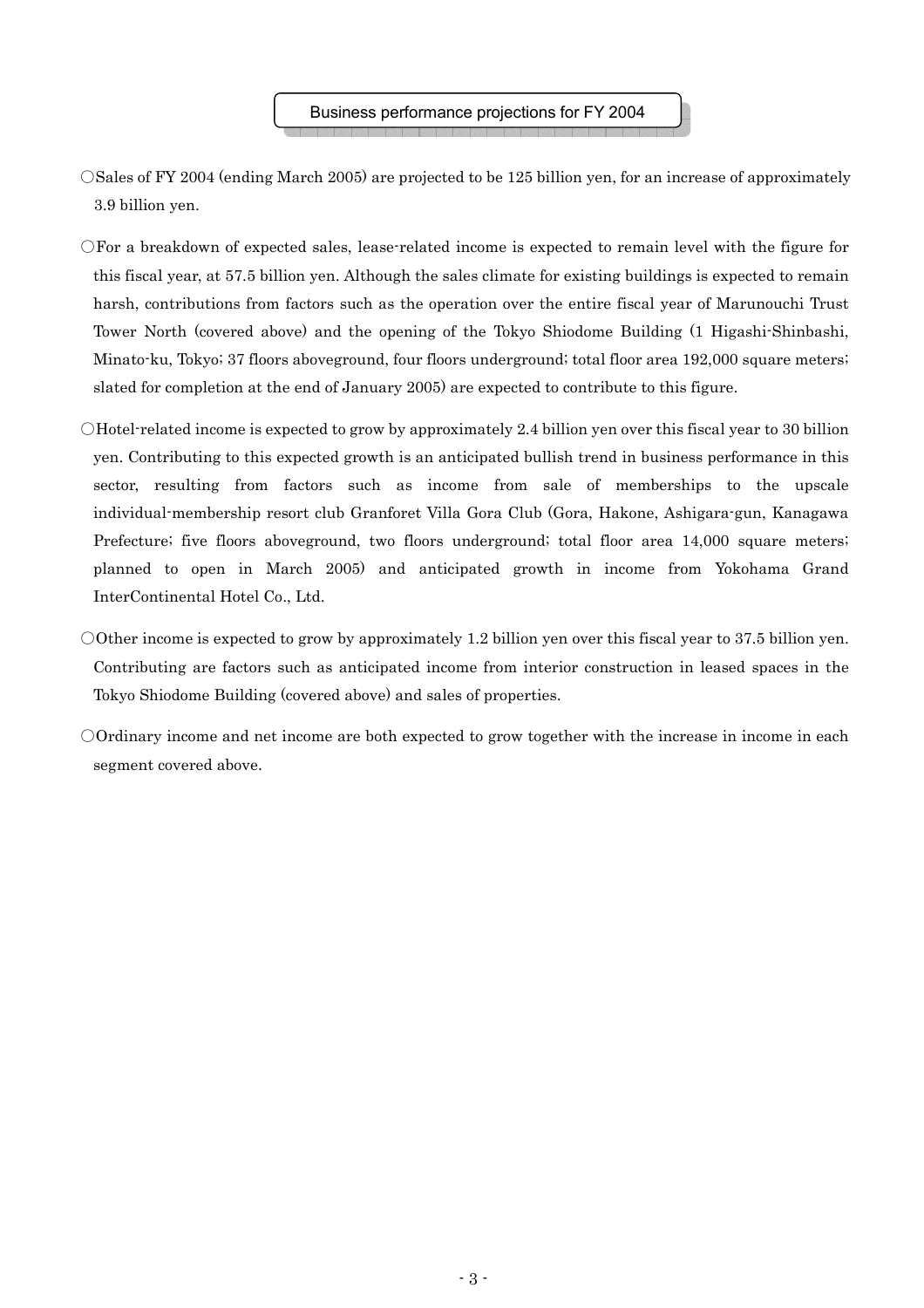- ○Sales of FY 2004 (ending March 2005) are projected to be 125 billion yen, for an increase of approximately 3.9 billion yen.
- ○For a breakdown of expected sales, lease-related income is expected to remain level with the figure for this fiscal year, at 57.5 billion yen. Although the sales climate for existing buildings is expected to remain harsh, contributions from factors such as the operation over the entire fiscal year of Marunouchi Trust Tower North (covered above) and the opening of the Tokyo Shiodome Building (1 Higashi-Shinbashi, Minato-ku, Tokyo; 37 floors aboveground, four floors underground; total floor area 192,000 square meters; slated for completion at the end of January 2005) are expected to contribute to this figure.
- ○Hotel-related income is expected to grow by approximately 2.4 billion yen over this fiscal year to 30 billion yen. Contributing to this expected growth is an anticipated bullish trend in business performance in this sector, resulting from factors such as income from sale of memberships to the upscale individual-membership resort club Granforet Villa Gora Club (Gora, Hakone, Ashigara-gun, Kanagawa Prefecture; five floors aboveground, two floors underground; total floor area 14,000 square meters; planned to open in March 2005) and anticipated growth in income from Yokohama Grand InterContinental Hotel Co., Ltd.
- O0ther income is expected to grow by approximately 1.2 billion yen over this fiscal year to 37.5 billion yen. Contributing are factors such as anticipated income from interior construction in leased spaces in the Tokyo Shiodome Building (covered above) and sales of properties.
- ○Ordinary income and net income are both expected to grow together with the increase in income in each segment covered above.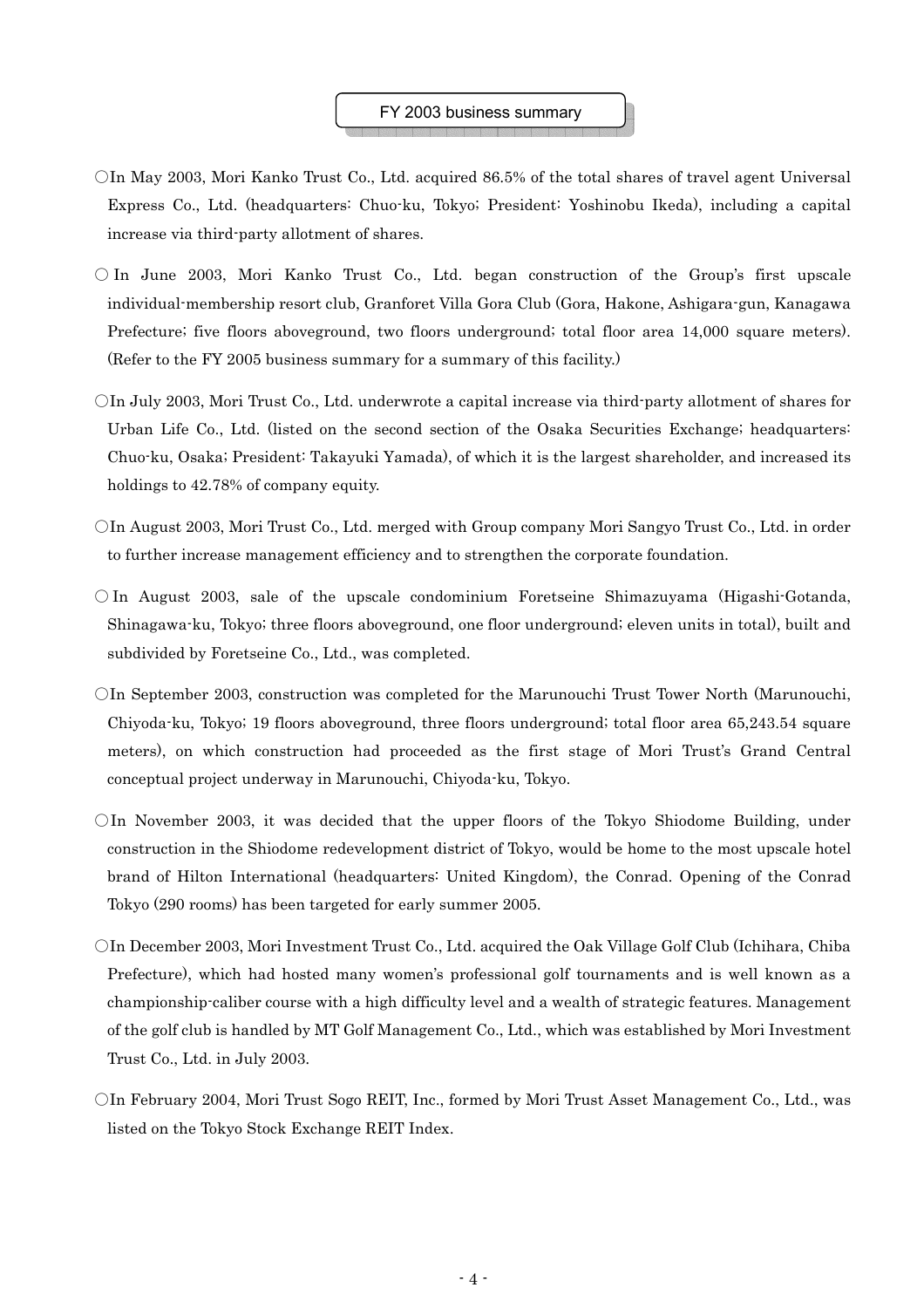### FY 2003 business summary

- ○In May 2003, Mori Kanko Trust Co., Ltd. acquired 86.5% of the total shares of travel agent Universal Express Co., Ltd. (headquarters: Chuo-ku, Tokyo; President: Yoshinobu Ikeda), including a capital increase via third-party allotment of shares.
- $\circ$  In June 2003, Mori Kanko Trust Co., Ltd. began construction of the Group's first upscale individual-membership resort club, Granforet Villa Gora Club (Gora, Hakone, Ashigara-gun, Kanagawa Prefecture; five floors aboveground, two floors underground; total floor area 14,000 square meters). (Refer to the FY 2005 business summary for a summary of this facility.)
- $\bigcirc$ In July 2003, Mori Trust Co., Ltd. underwrote a capital increase via third-party allotment of shares for Urban Life Co., Ltd. (listed on the second section of the Osaka Securities Exchange; headquarters: Chuo-ku, Osaka; President: Takayuki Yamada), of which it is the largest shareholder, and increased its holdings to 42.78% of company equity.
- ○In August 2003, Mori Trust Co., Ltd. merged with Group company Mori Sangyo Trust Co., Ltd. in order to further increase management efficiency and to strengthen the corporate foundation.
- $\circ$  In August 2003, sale of the upscale condominium Foretseine Shimazuyama (Higashi-Gotanda, Shinagawa-ku, Tokyo; three floors aboveground, one floor underground; eleven units in total), built and subdivided by Foretseine Co., Ltd., was completed.
- ○In September 2003, construction was completed for the Marunouchi Trust Tower North (Marunouchi, Chiyoda-ku, Tokyo; 19 floors aboveground, three floors underground; total floor area 65,243.54 square meters), on which construction had proceeded as the first stage of Mori Trust's Grand Central conceptual project underway in Marunouchi, Chiyoda-ku, Tokyo.
- $\overline{O}$ In November 2003, it was decided that the upper floors of the Tokyo Shiodome Building, under construction in the Shiodome redevelopment district of Tokyo, would be home to the most upscale hotel brand of Hilton International (headquarters: United Kingdom), the Conrad. Opening of the Conrad Tokyo (290 rooms) has been targeted for early summer 2005.
- ○In December 2003, Mori Investment Trust Co., Ltd. acquired the Oak Village Golf Club (Ichihara, Chiba Prefecture), which had hosted many women's professional golf tournaments and is well known as a championship-caliber course with a high difficulty level and a wealth of strategic features. Management of the golf club is handled by MT Golf Management Co., Ltd., which was established by Mori Investment Trust Co., Ltd. in July 2003.
- ○In February 2004, Mori Trust Sogo REIT, Inc., formed by Mori Trust Asset Management Co., Ltd., was listed on the Tokyo Stock Exchange REIT Index.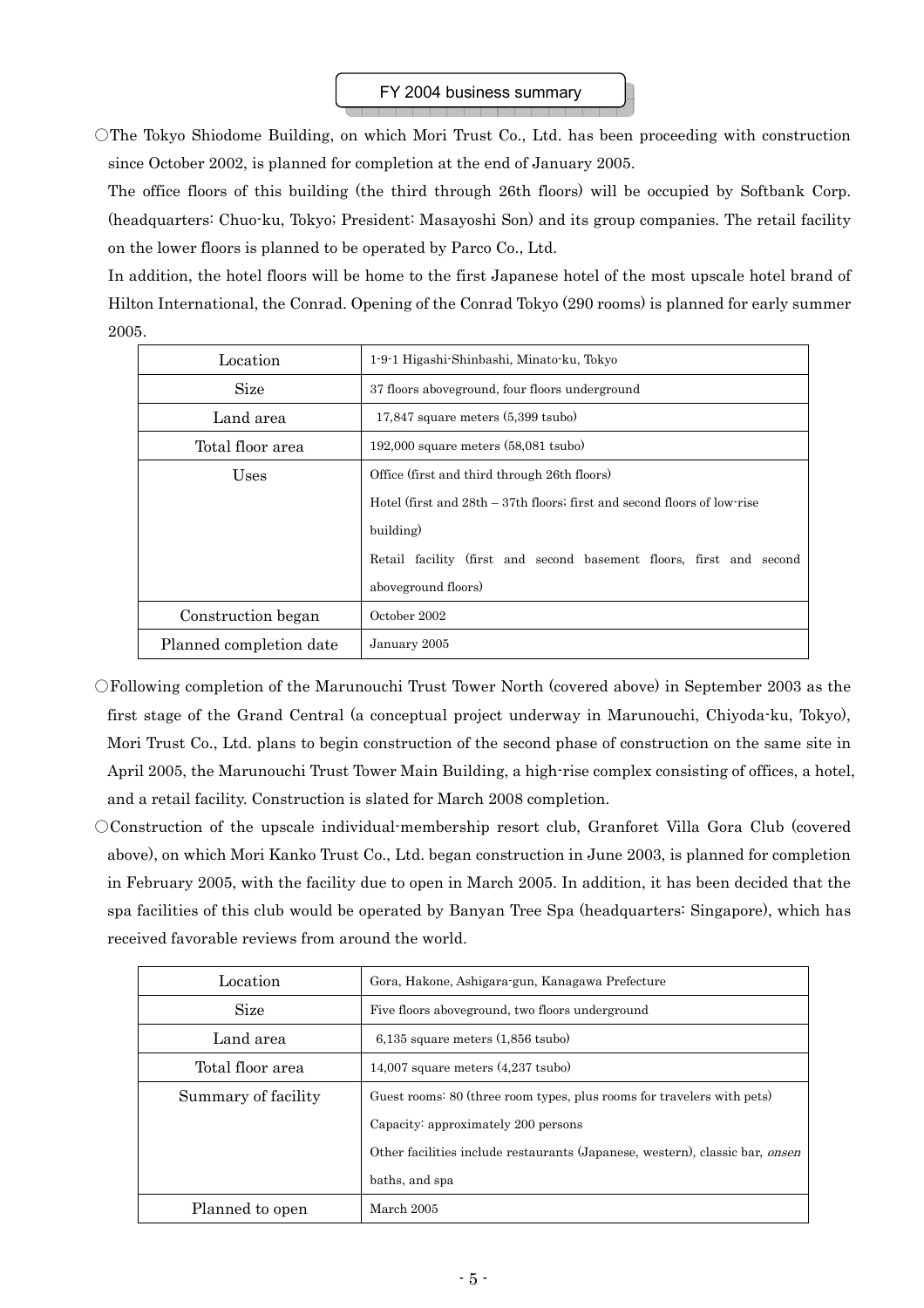○The Tokyo Shiodome Building, on which Mori Trust Co., Ltd. has been proceeding with construction since October 2002, is planned for completion at the end of January 2005.

The office floors of this building (the third through 26th floors) will be occupied by Softbank Corp. (headquarters: Chuo-ku, Tokyo; President: Masayoshi Son) and its group companies. The retail facility on the lower floors is planned to be operated by Parco Co., Ltd.

In addition, the hotel floors will be home to the first Japanese hotel of the most upscale hotel brand of Hilton International, the Conrad. Opening of the Conrad Tokyo (290 rooms) is planned for early summer 2005.

| Location                | 1-9-1 Higashi-Shinbashi, Minato-ku, Tokyo                                  |  |
|-------------------------|----------------------------------------------------------------------------|--|
| Size                    | 37 floors aboveground, four floors underground                             |  |
| Land area               | $17,847$ square meters $(5,399$ tsubo)                                     |  |
| Total floor area        | $192,000$ square meters $(58,081$ tsubo)                                   |  |
| Uses                    | Office (first and third through 26th floors)                               |  |
|                         | Hotel (first and $28th - 37th$ floors; first and second floors of low-rise |  |
|                         | building)                                                                  |  |
|                         | Retail facility (first and second basement floors, first and second        |  |
|                         | aboveground floors)                                                        |  |
| Construction began      | October 2002                                                               |  |
| Planned completion date | January 2005                                                               |  |

○Following completion of the Marunouchi Trust Tower North (covered above) in September 2003 as the first stage of the Grand Central (a conceptual project underway in Marunouchi, Chiyoda-ku, Tokyo), Mori Trust Co., Ltd. plans to begin construction of the second phase of construction on the same site in April 2005, the Marunouchi Trust Tower Main Building, a high-rise complex consisting of offices, a hotel, and a retail facility. Construction is slated for March 2008 completion.

○Construction of the upscale individual-membership resort club, Granforet Villa Gora Club (covered above), on which Mori Kanko Trust Co., Ltd. began construction in June 2003, is planned for completion in February 2005, with the facility due to open in March 2005. In addition, it has been decided that the spa facilities of this club would be operated by Banyan Tree Spa (headquarters: Singapore), which has received favorable reviews from around the world.

| Location            | Gora, Hakone, Ashigara-gun, Kanagawa Prefecture                              |
|---------------------|------------------------------------------------------------------------------|
| Size                | Five floors aboveground, two floors underground                              |
| Land area           | $6.135$ square meters $(1.856$ tsubo)                                        |
| Total floor area    | $14,007$ square meters $(4,237$ tsubo)                                       |
| Summary of facility | Guest rooms: 80 (three room types, plus rooms for travelers with pets)       |
|                     | Capacity: approximately 200 persons                                          |
|                     | Other facilities include restaurants (Japanese, western), classic bar, onsen |
|                     | baths, and spa                                                               |
| Planned to open     | March 2005                                                                   |